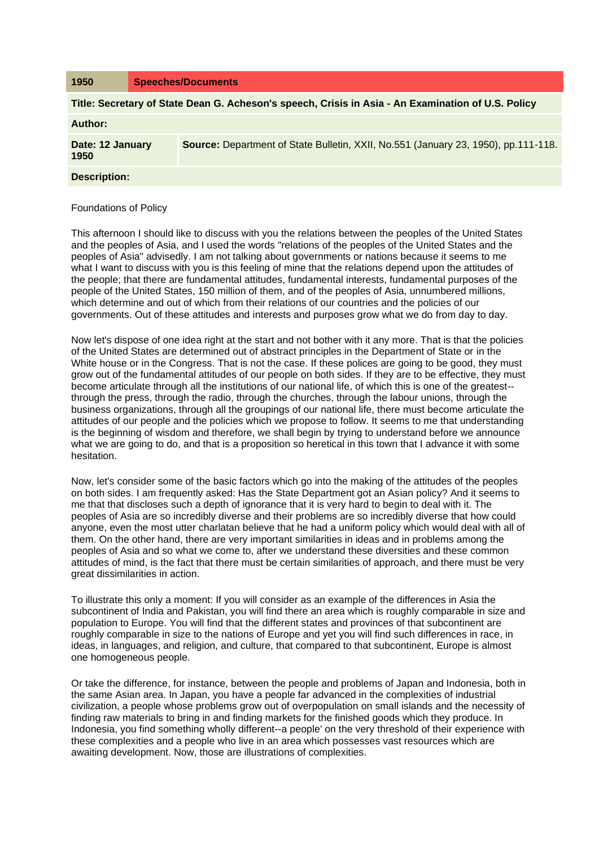| 1950                                                                                               | <b>Speeches/Documents</b>                                                          |
|----------------------------------------------------------------------------------------------------|------------------------------------------------------------------------------------|
| Title: Secretary of State Dean G. Acheson's speech, Crisis in Asia - An Examination of U.S. Policy |                                                                                    |
| Author:                                                                                            |                                                                                    |
| Date: 12 January<br>1950                                                                           | Source: Department of State Bulletin, XXII, No.551 (January 23, 1950), pp.111-118. |
| <b>Description:</b>                                                                                |                                                                                    |

### Foundations of Policy

This afternoon I should like to discuss with you the relations between the peoples of the United States and the peoples of Asia, and I used the words "relations of the peoples of the United States and the peoples of Asia" advisedly. I am not talking about governments or nations because it seems to me what I want to discuss with you is this feeling of mine that the relations depend upon the attitudes of the people; that there are fundamental attitudes, fundamental interests, fundamental purposes of the people of the United States, 150 million of them, and of the peoples of Asia, unnumbered millions, which determine and out of which from their relations of our countries and the policies of our governments. Out of these attitudes and interests and purposes grow what we do from day to day.

Now let's dispose of one idea right at the start and not bother with it any more. That is that the policies of the United States are determined out of abstract principles in the Department of State or in the White house or in the Congress. That is not the case. If these polices are going to be good, they must grow out of the fundamental attitudes of our people on both sides. If they are to be effective, they must become articulate through all the institutions of our national life, of which this is one of the greatest- through the press, through the radio, through the churches, through the labour unions, through the business organizations, through all the groupings of our national life, there must become articulate the attitudes of our people and the policies which we propose to follow. It seems to me that understanding is the beginning of wisdom and therefore, we shall begin by trying to understand before we announce what we are going to do, and that is a proposition so heretical in this town that I advance it with some hesitation.

Now, let's consider some of the basic factors which go into the making of the attitudes of the peoples on both sides. I am frequently asked: Has the State Department got an Asian policy? And it seems to me that that discloses such a depth of ignorance that it is very hard to begin to deal with it. The peoples of Asia are so incredibly diverse and their problems are so incredibly diverse that how could anyone, even the most utter charlatan believe that he had a uniform policy which would deal with all of them. On the other hand, there are very important similarities in ideas and in problems among the peoples of Asia and so what we come to, after we understand these diversities and these common attitudes of mind, is the fact that there must be certain similarities of approach, and there must be very great dissimilarities in action.

To illustrate this only a moment: If you will consider as an example of the differences in Asia the subcontinent of India and Pakistan, you will find there an area which is roughly comparable in size and population to Europe. You will find that the different states and provinces of that subcontinent are roughly comparable in size to the nations of Europe and yet you will find such differences in race, in ideas, in languages, and religion, and culture, that compared to that subcontinent, Europe is almost one homogeneous people.

Or take the difference, for instance, between the people and problems of Japan and Indonesia, both in the same Asian area. In Japan, you have a people far advanced in the complexities of industrial civilization, a people whose problems grow out of overpopulation on small islands and the necessity of finding raw materials to bring in and finding markets for the finished goods which they produce. In Indonesia, you find something wholly different--a people' on the very threshold of their experience with these complexities and a people who live in an area which possesses vast resources which are awaiting development. Now, those are illustrations of complexities.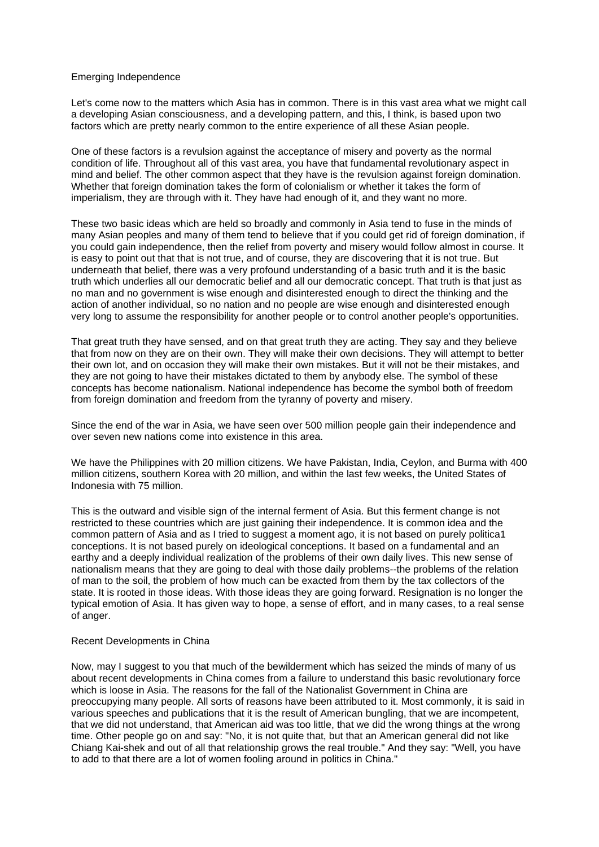### Emerging Independence

Let's come now to the matters which Asia has in common. There is in this vast area what we might call a developing Asian consciousness, and a developing pattern, and this, I think, is based upon two factors which are pretty nearly common to the entire experience of all these Asian people.

One of these factors is a revulsion against the acceptance of misery and poverty as the normal condition of life. Throughout all of this vast area, you have that fundamental revolutionary aspect in mind and belief. The other common aspect that they have is the revulsion against foreign domination. Whether that foreign domination takes the form of colonialism or whether it takes the form of imperialism, they are through with it. They have had enough of it, and they want no more.

These two basic ideas which are held so broadly and commonly in Asia tend to fuse in the minds of many Asian peoples and many of them tend to believe that if you could get rid of foreign domination, if you could gain independence, then the relief from poverty and misery would follow almost in course. It is easy to point out that that is not true, and of course, they are discovering that it is not true. But underneath that belief, there was a very profound understanding of a basic truth and it is the basic truth which underlies all our democratic belief and all our democratic concept. That truth is that just as no man and no government is wise enough and disinterested enough to direct the thinking and the action of another individual, so no nation and no people are wise enough and disinterested enough very long to assume the responsibility for another people or to control another people's opportunities.

That great truth they have sensed, and on that great truth they are acting. They say and they believe that from now on they are on their own. They will make their own decisions. They will attempt to better their own lot, and on occasion they will make their own mistakes. But it will not be their mistakes, and they are not going to have their mistakes dictated to them by anybody else. The symbol of these concepts has become nationalism. National independence has become the symbol both of freedom from foreign domination and freedom from the tyranny of poverty and misery.

Since the end of the war in Asia, we have seen over 500 million people gain their independence and over seven new nations come into existence in this area.

We have the Philippines with 20 million citizens. We have Pakistan, India, Ceylon, and Burma with 400 million citizens, southern Korea with 20 million, and within the last few weeks, the United States of Indonesia with 75 million.

This is the outward and visible sign of the internal ferment of Asia. But this ferment change is not restricted to these countries which are just gaining their independence. It is common idea and the common pattern of Asia and as I tried to suggest a moment ago, it is not based on purely politica1 conceptions. It is not based purely on ideological conceptions. It based on a fundamental and an earthy and a deeply individual realization of the problems of their own daily lives. This new sense of nationalism means that they are going to deal with those daily problems--the problems of the relation of man to the soil, the problem of how much can be exacted from them by the tax collectors of the state. It is rooted in those ideas. With those ideas they are going forward. Resignation is no longer the typical emotion of Asia. It has given way to hope, a sense of effort, and in many cases, to a real sense of anger.

#### Recent Developments in China

Now, may I suggest to you that much of the bewilderment which has seized the minds of many of us about recent developments in China comes from a failure to understand this basic revolutionary force which is loose in Asia. The reasons for the fall of the Nationalist Government in China are preoccupying many people. All sorts of reasons have been attributed to it. Most commonly, it is said in various speeches and publications that it is the result of American bungling, that we are incompetent, that we did not understand, that American aid was too little, that we did the wrong things at the wrong time. Other people go on and say: "No, it is not quite that, but that an American general did not like Chiang Kai-shek and out of all that relationship grows the real trouble." And they say: "Well, you have to add to that there are a lot of women fooling around in politics in China."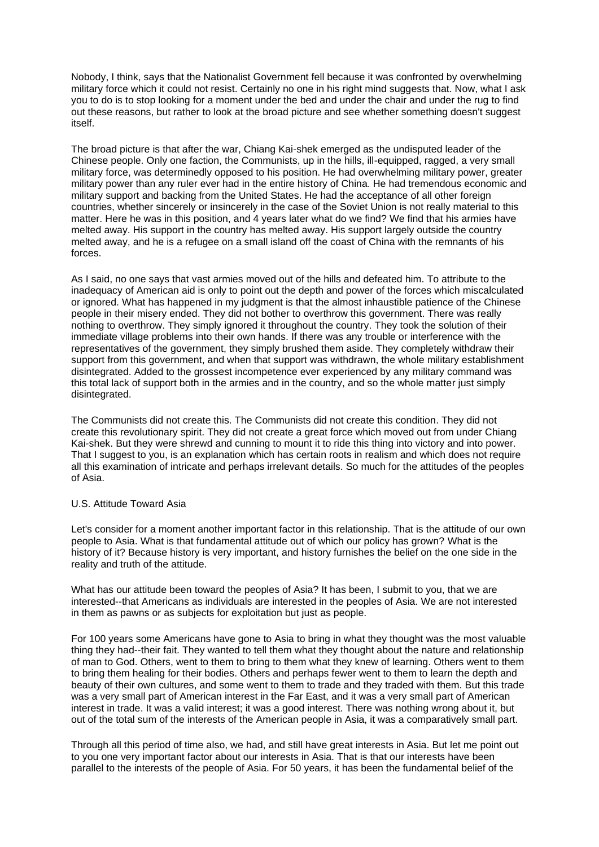Nobody, I think, says that the Nationalist Government fell because it was confronted by overwhelming military force which it could not resist. Certainly no one in his right mind suggests that. Now, what I ask you to do is to stop looking for a moment under the bed and under the chair and under the rug to find out these reasons, but rather to look at the broad picture and see whether something doesn't suggest itself.

The broad picture is that after the war, Chiang Kai-shek emerged as the undisputed leader of the Chinese people. Only one faction, the Communists, up in the hills, ill-equipped, ragged, a very small military force, was determinedly opposed to his position. He had overwhelming military power, greater military power than any ruler ever had in the entire history of China. He had tremendous economic and military support and backing from the United States. He had the acceptance of all other foreign countries, whether sincerely or insincerely in the case of the Soviet Union is not really material to this matter. Here he was in this position, and 4 years later what do we find? We find that his armies have melted away. His support in the country has melted away. His support largely outside the country melted away, and he is a refugee on a small island off the coast of China with the remnants of his forces.

As I said, no one says that vast armies moved out of the hills and defeated him. To attribute to the inadequacy of American aid is only to point out the depth and power of the forces which miscalculated or ignored. What has happened in my judgment is that the almost inhaustible patience of the Chinese people in their misery ended. They did not bother to overthrow this government. There was really nothing to overthrow. They simply ignored it throughout the country. They took the solution of their immediate village problems into their own hands. If there was any trouble or interference with the representatives of the government, they simply brushed them aside. They completely withdraw their support from this government, and when that support was withdrawn, the whole military establishment disintegrated. Added to the grossest incompetence ever experienced by any military command was this total lack of support both in the armies and in the country, and so the whole matter just simply disintegrated.

The Communists did not create this. The Communists did not create this condition. They did not create this revolutionary spirit. They did not create a great force which moved out from under Chiang Kai-shek. But they were shrewd and cunning to mount it to ride this thing into victory and into power. That I suggest to you, is an explanation which has certain roots in realism and which does not require all this examination of intricate and perhaps irrelevant details. So much for the attitudes of the peoples of Asia.

## U.S. Attitude Toward Asia

Let's consider for a moment another important factor in this relationship. That is the attitude of our own people to Asia. What is that fundamental attitude out of which our policy has grown? What is the history of it? Because history is very important, and history furnishes the belief on the one side in the reality and truth of the attitude.

What has our attitude been toward the peoples of Asia? It has been, I submit to you, that we are interested--that Americans as individuals are interested in the peoples of Asia. We are not interested in them as pawns or as subjects for exploitation but just as people.

For 100 years some Americans have gone to Asia to bring in what they thought was the most valuable thing they had--their fait. They wanted to tell them what they thought about the nature and relationship of man to God. Others, went to them to bring to them what they knew of learning. Others went to them to bring them healing for their bodies. Others and perhaps fewer went to them to learn the depth and beauty of their own cultures, and some went to them to trade and they traded with them. But this trade was a very small part of American interest in the Far East, and it was a very small part of American interest in trade. It was a valid interest; it was a good interest. There was nothing wrong about it, but out of the total sum of the interests of the American people in Asia, it was a comparatively small part.

Through all this period of time also, we had, and still have great interests in Asia. But let me point out to you one very important factor about our interests in Asia. That is that our interests have been parallel to the interests of the people of Asia. For 50 years, it has been the fundamental belief of the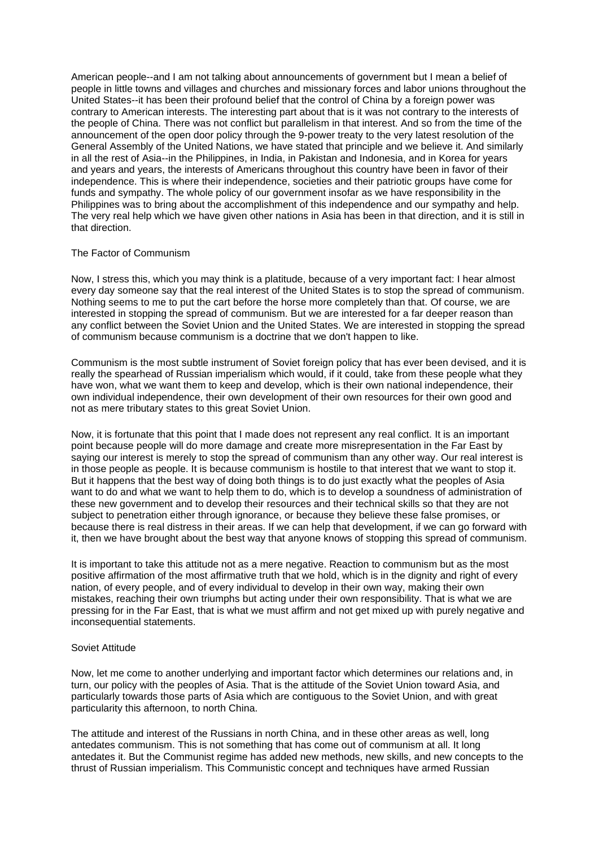American people--and I am not talking about announcements of government but I mean a belief of people in little towns and villages and churches and missionary forces and labor unions throughout the United States--it has been their profound belief that the control of China by a foreign power was contrary to American interests. The interesting part about that is it was not contrary to the interests of the people of China. There was not conflict but parallelism in that interest. And so from the time of the announcement of the open door policy through the 9-power treaty to the very latest resolution of the General Assembly of the United Nations, we have stated that principle and we believe it. And similarly in all the rest of Asia--in the Philippines, in India, in Pakistan and Indonesia, and in Korea for years and years and years, the interests of Americans throughout this country have been in favor of their independence. This is where their independence, societies and their patriotic groups have come for funds and sympathy. The whole policy of our government insofar as we have responsibility in the Philippines was to bring about the accomplishment of this independence and our sympathy and help. The very real help which we have given other nations in Asia has been in that direction, and it is still in that direction.

### The Factor of Communism

Now, I stress this, which you may think is a platitude, because of a very important fact: I hear almost every day someone say that the real interest of the United States is to stop the spread of communism. Nothing seems to me to put the cart before the horse more completely than that. Of course, we are interested in stopping the spread of communism. But we are interested for a far deeper reason than any conflict between the Soviet Union and the United States. We are interested in stopping the spread of communism because communism is a doctrine that we don't happen to like.

Communism is the most subtle instrument of Soviet foreign policy that has ever been devised, and it is really the spearhead of Russian imperialism which would, if it could, take from these people what they have won, what we want them to keep and develop, which is their own national independence, their own individual independence, their own development of their own resources for their own good and not as mere tributary states to this great Soviet Union.

Now, it is fortunate that this point that I made does not represent any real conflict. It is an important point because people will do more damage and create more misrepresentation in the Far East by saying our interest is merely to stop the spread of communism than any other way. Our real interest is in those people as people. It is because communism is hostile to that interest that we want to stop it. But it happens that the best way of doing both things is to do just exactly what the peoples of Asia want to do and what we want to help them to do, which is to develop a soundness of administration of these new government and to develop their resources and their technical skills so that they are not subject to penetration either through ignorance, or because they believe these false promises, or because there is real distress in their areas. If we can help that development, if we can go forward with it, then we have brought about the best way that anyone knows of stopping this spread of communism.

It is important to take this attitude not as a mere negative. Reaction to communism but as the most positive affirmation of the most affirmative truth that we hold, which is in the dignity and right of every nation, of every people, and of every individual to develop in their own way, making their own mistakes, reaching their own triumphs but acting under their own responsibility. That is what we are pressing for in the Far East, that is what we must affirm and not get mixed up with purely negative and inconsequential statements.

## Soviet Attitude

Now, let me come to another underlying and important factor which determines our relations and, in turn, our policy with the peoples of Asia. That is the attitude of the Soviet Union toward Asia, and particularly towards those parts of Asia which are contiguous to the Soviet Union, and with great particularity this afternoon, to north China.

The attitude and interest of the Russians in north China, and in these other areas as well, long antedates communism. This is not something that has come out of communism at all. It long antedates it. But the Communist regime has added new methods, new skills, and new concepts to the thrust of Russian imperialism. This Communistic concept and techniques have armed Russian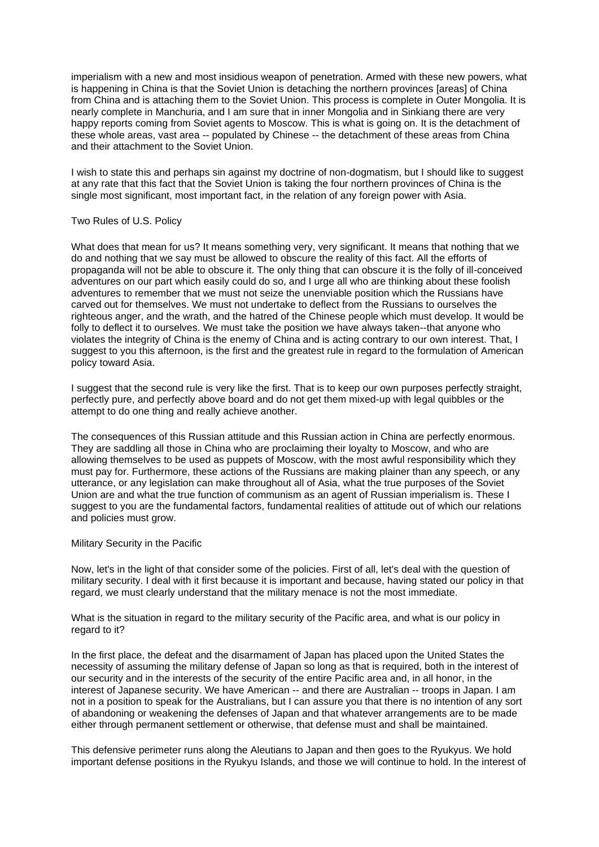imperialism with a new and most insidious weapon of penetration. Armed with these new powers, what is happening in China is that the Soviet Union is detaching the northern provinces [areas] of China from China and is attaching them to the Soviet Union. This process is complete in Outer Mongolia. It is nearly complete in Manchuria, and I am sure that in inner Mongolia and in Sinkiang there are very happy reports coming from Soviet agents to Moscow. This is what is going on. It is the detachment of these whole areas, vast area -- populated by Chinese -- the detachment of these areas from China and their attachment to the Soviet Union.

I wish to state this and perhaps sin against my doctrine of non-dogmatism, but I should like to suggest at any rate that this fact that the Soviet Union is taking the four northern provinces of China is the single most significant, most important fact, in the relation of any foreign power with Asia.

#### Two Rules of U.S. Policy

What does that mean for us? It means something very, very significant. It means that nothing that we do and nothing that we say must be allowed to obscure the reality of this fact. All the efforts of propaganda will not be able to obscure it. The only thing that can obscure it is the folly of ill-conceived adventures on our part which easily could do so, and I urge all who are thinking about these foolish adventures to remember that we must not seize the unenviable position which the Russians have carved out for themselves. We must not undertake to deflect from the Russians to ourselves the righteous anger, and the wrath, and the hatred of the Chinese people which must develop. It would be folly to deflect it to ourselves. We must take the position we have always taken--that anyone who violates the integrity of China is the enemy of China and is acting contrary to our own interest. That, I suggest to you this afternoon, is the first and the greatest rule in regard to the formulation of American policy toward Asia.

I suggest that the second rule is very like the first. That is to keep our own purposes perfectly straight, perfectly pure, and perfectly above board and do not get them mixed-up with legal quibbles or the attempt to do one thing and really achieve another.

The consequences of this Russian attitude and this Russian action in China are perfectly enormous. They are saddling all those in China who are proclaiming their loyalty to Moscow, and who are allowing themselves to be used as puppets of Moscow, with the most awful responsibility which they must pay for. Furthermore, these actions of the Russians are making plainer than any speech, or any utterance, or any legislation can make throughout all of Asia, what the true purposes of the Soviet Union are and what the true function of communism as an agent of Russian imperialism is. These I suggest to you are the fundamental factors, fundamental realities of attitude out of which our relations and policies must grow.

# Military Security in the Pacific

Now, let's in the light of that consider some of the policies. First of all, let's deal with the question of military security. I deal with it first because it is important and because, having stated our policy in that regard, we must clearly understand that the military menace is not the most immediate.

What is the situation in regard to the military security of the Pacific area, and what is our policy in regard to it?

In the first place, the defeat and the disarmament of Japan has placed upon the United States the necessity of assuming the military defense of Japan so long as that is required, both in the interest of our security and in the interests of the security of the entire Pacific area and, in all honor, in the interest of Japanese security. We have American -- and there are Australian -- troops in Japan. I am not in a position to speak for the Australians, but I can assure you that there is no intention of any sort of abandoning or weakening the defenses of Japan and that whatever arrangements are to be made either through permanent settlement or otherwise, that defense must and shall be maintained.

This defensive perimeter runs along the Aleutians to Japan and then goes to the Ryukyus. We hold important defense positions in the Ryukyu Islands, and those we will continue to hold. In the interest of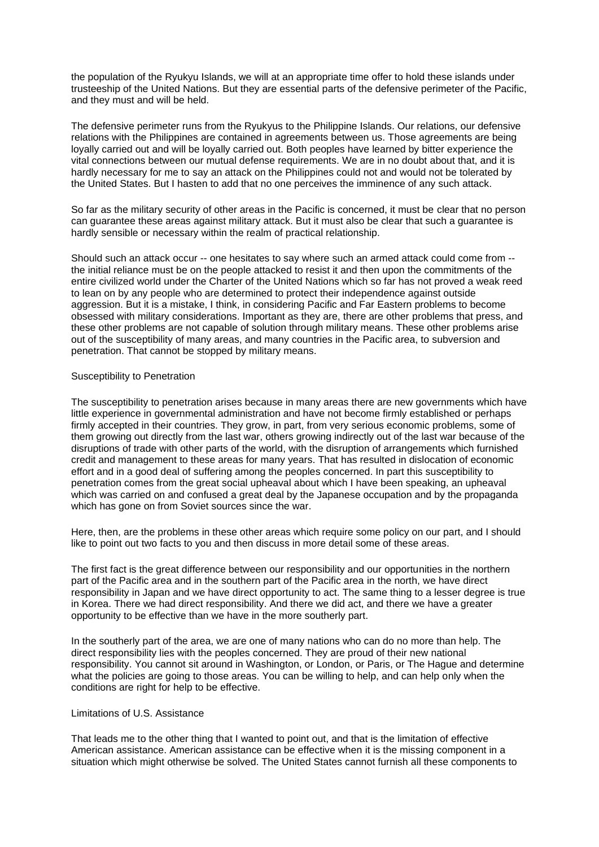the population of the Ryukyu Islands, we will at an appropriate time offer to hold these islands under trusteeship of the United Nations. But they are essential parts of the defensive perimeter of the Pacific, and they must and will be held.

The defensive perimeter runs from the Ryukyus to the Philippine Islands. Our relations, our defensive relations with the Philippines are contained in agreements between us. Those agreements are being loyally carried out and will be loyally carried out. Both peoples have learned by bitter experience the vital connections between our mutual defense requirements. We are in no doubt about that, and it is hardly necessary for me to say an attack on the Philippines could not and would not be tolerated by the United States. But I hasten to add that no one perceives the imminence of any such attack.

So far as the military security of other areas in the Pacific is concerned, it must be clear that no person can guarantee these areas against military attack. But it must also be clear that such a guarantee is hardly sensible or necessary within the realm of practical relationship.

Should such an attack occur -- one hesitates to say where such an armed attack could come from - the initial reliance must be on the people attacked to resist it and then upon the commitments of the entire civilized world under the Charter of the United Nations which so far has not proved a weak reed to lean on by any people who are determined to protect their independence against outside aggression. But it is a mistake, I think, in considering Pacific and Far Eastern problems to become obsessed with military considerations. Important as they are, there are other problems that press, and these other problems are not capable of solution through military means. These other problems arise out of the susceptibility of many areas, and many countries in the Pacific area, to subversion and penetration. That cannot be stopped by military means.

#### Susceptibility to Penetration

The susceptibility to penetration arises because in many areas there are new governments which have little experience in governmental administration and have not become firmly established or perhaps firmly accepted in their countries. They grow, in part, from very serious economic problems, some of them growing out directly from the last war, others growing indirectly out of the last war because of the disruptions of trade with other parts of the world, with the disruption of arrangements which furnished credit and management to these areas for many years. That has resulted in dislocation of economic effort and in a good deal of suffering among the peoples concerned. In part this susceptibility to penetration comes from the great social upheaval about which I have been speaking, an upheaval which was carried on and confused a great deal by the Japanese occupation and by the propaganda which has gone on from Soviet sources since the war.

Here, then, are the problems in these other areas which require some policy on our part, and I should like to point out two facts to you and then discuss in more detail some of these areas.

The first fact is the great difference between our responsibility and our opportunities in the northern part of the Pacific area and in the southern part of the Pacific area in the north, we have direct responsibility in Japan and we have direct opportunity to act. The same thing to a lesser degree is true in Korea. There we had direct responsibility. And there we did act, and there we have a greater opportunity to be effective than we have in the more southerly part.

In the southerly part of the area, we are one of many nations who can do no more than help. The direct responsibility lies with the peoples concerned. They are proud of their new national responsibility. You cannot sit around in Washington, or London, or Paris, or The Hague and determine what the policies are going to those areas. You can be willing to help, and can help only when the conditions are right for help to be effective.

# Limitations of U.S. Assistance

That leads me to the other thing that I wanted to point out, and that is the limitation of effective American assistance. American assistance can be effective when it is the missing component in a situation which might otherwise be solved. The United States cannot furnish all these components to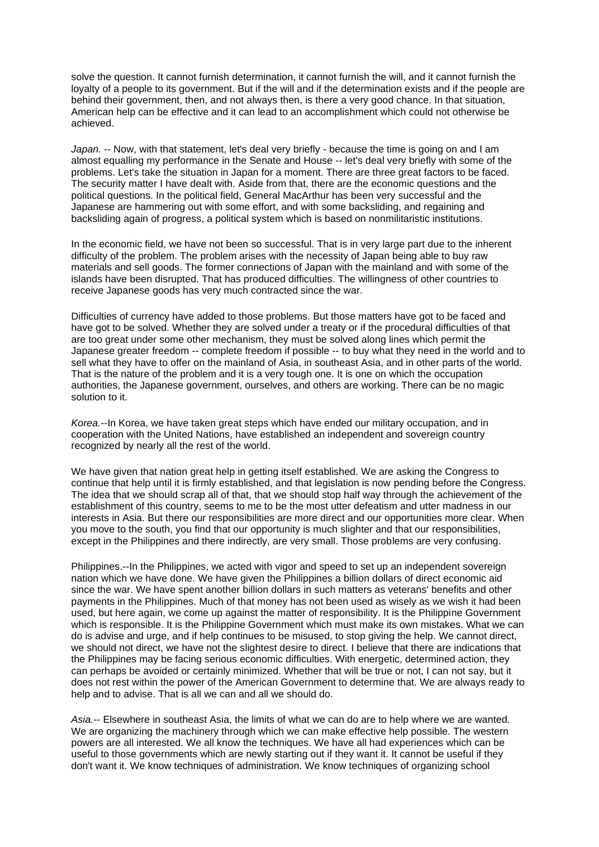solve the question. It cannot furnish determination, it cannot furnish the will, and it cannot furnish the loyalty of a people to its government. But if the will and if the determination exists and if the people are behind their government, then, and not always then, is there a very good chance. In that situation, American help can be effective and it can lead to an accomplishment which could not otherwise be achieved.

*Japan.* -- Now, with that statement, let's deal very briefly - because the time is going on and I am almost equalling my performance in the Senate and House -- let's deal very briefly with some of the problems. Let's take the situation in Japan for a moment. There are three great factors to be faced. The security matter I have dealt with. Aside from that, there are the economic questions and the political questions. In the political field, General MacArthur has been very successful and the Japanese are hammering out with some effort, and with some backsliding, and regaining and backsliding again of progress, a political system which is based on nonmilitaristic institutions.

In the economic field, we have not been so successful. That is in very large part due to the inherent difficulty of the problem. The problem arises with the necessity of Japan being able to buy raw materials and sell goods. The former connections of Japan with the mainland and with some of the islands have been disrupted. That has produced difficulties. The willingness of other countries to receive Japanese goods has very much contracted since the war.

Difficulties of currency have added to those problems. But those matters have got to be faced and have got to be solved. Whether they are solved under a treaty or if the procedural difficulties of that are too great under some other mechanism, they must be solved along lines which permit the Japanese greater freedom -- complete freedom if possible -- to buy what they need in the world and to sell what they have to offer on the mainland of Asia, in southeast Asia, and in other parts of the world. That is the nature of the problem and it is a very tough one. It is one on which the occupation authorities, the Japanese government, ourselves, and others are working. There can be no magic solution to it.

*Korea.*--In Korea, we have taken great steps which have ended our military occupation, and in cooperation with the United Nations, have established an independent and sovereign country recognized by nearly all the rest of the world.

We have given that nation great help in getting itself established. We are asking the Congress to continue that help until it is firmly established, and that legislation is now pending before the Congress. The idea that we should scrap all of that, that we should stop half way through the achievement of the establishment of this country, seems to me to be the most utter defeatism and utter madness in our interests in Asia. But there our responsibilities are more direct and our opportunities more clear. When you move to the south, you find that our opportunity is much slighter and that our responsibilities, except in the Philippines and there indirectly, are very small. Those problems are very confusing.

Philippines.--In the Philippines, we acted with vigor and speed to set up an independent sovereign nation which we have done. We have given the Philippines a billion dollars of direct economic aid since the war. We have spent another billion dollars in such matters as veterans' benefits and other payments in the Philippines. Much of that money has not been used as wisely as we wish it had been used, but here again, we come up against the matter of responsibility. It is the Philippine Government which is responsible. It is the Philippine Government which must make its own mistakes. What we can do is advise and urge, and if help continues to be misused, to stop giving the help. We cannot direct, we should not direct, we have not the slightest desire to direct. I believe that there are indications that the Philippines may be facing serious economic difficulties. With energetic, determined action, they can perhaps be avoided or certainly minimized. Whether that will be true or not, I can not say, but it does not rest within the power of the American Government to determine that. We are always ready to help and to advise. That is all we can and all we should do.

*Asia.*-- Elsewhere in southeast Asia, the limits of what we can do are to help where we are wanted. We are organizing the machinery through which we can make effective help possible. The western powers are all interested. We all know the techniques. We have all had experiences which can be useful to those governments which are newly starting out if they want it. It cannot be useful if they don't want it. We know techniques of administration. We know techniques of organizing school